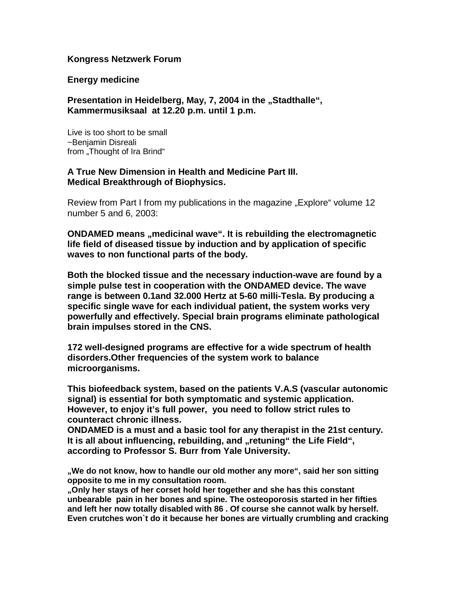## **Kongress Netzwerk Forum**

### **Energy medicine**

# **Presentation in Heidelberg, May, 7, 2004 in the "Stadthalle", Kammermusiksaal at 12.20 p.m. until 1 p.m.**

Live is too short to be small ~Benjamin Disreali from "Thought of Ira Brind"

## **A True New Dimension in Health and Medicine Part III. Medical Breakthrough of Biophysics.**

Review from Part I from my publications in the magazine "Explore" volume 12 number 5 and 6, 2003:

**ONDAMED means , medicinal wave". It is rebuilding the electromagnetic life field of diseased tissue by induction and by application of specific waves to non functional parts of the body.**

**Both the blocked tissue and the necessary induction-wave are found by a simple pulse test in cooperation with the ONDAMED device. The wave range is between 0.1and 32.000 Hertz at 5-60 milli-Tesla. By producing a specific single wave for each individual patient, the system works very powerfully and effectively. Special brain programs eliminate pathological brain impulses stored in the CNS.**

**172 well-designed programs are effective for a wide spectrum of health disorders.Other frequencies of the system work to balance microorganisms.** 

**This biofeedback system, based on the patients V.A.S (vascular autonomic signal) is essential for both symptomatic and systemic application. However, to enjoy it's full power, you need to follow strict rules to counteract chronic illness.**

**ONDAMED is a must and a basic tool for any therapist in the 21st century.** It is all about influencing, rebuilding, and "retuning" the Life Field", **according to Professor S. Burr from Yale University.**

**"We do not know, how to handle our old mother any more", said her son sitting opposite to me in my consultation room.**

**"Only her stays of her corset hold her together and she has this constant unbearable pain in her bones and spine. The osteoporosis started in her fifties and left her now totally disabled with 86 . Of course she cannot walk by herself. Even crutches won`t do it because her bones are virtually crumbling and cracking**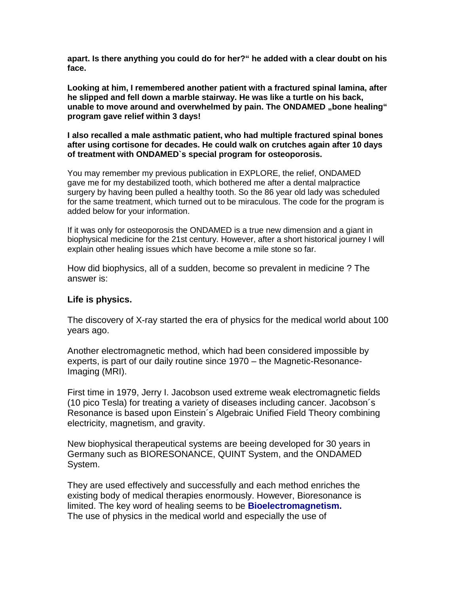**apart. Is there anything you could do for her?" he added with a clear doubt on his face.**

**Looking at him, I remembered another patient with a fractured spinal lamina, after he slipped and fell down a marble stairway. He was like a turtle on his back, unable to move around and overwhelmed by pain. The ONDAMED , bone healing " program gave relief within 3 days!**

**I also recalled a male asthmatic patient, who had multiple fractured spinal bones after using cortisone for decades. He could walk on crutches again after 10 days of treatment with ONDAMED`s special program for osteoporosis.**

You may remember my previous publication in EXPLORE, the relief, ONDAMED gave me for my destabilized tooth, which bothered me after a dental malpractice surgery by having been pulled a healthy tooth. So the 86 year old lady was scheduled for the same treatment, which turned out to be miraculous. The code for the program is added below for your information.

If it was only for osteoporosis the ONDAMED is a true new dimension and a giant in biophysical medicine for the 21st century. However, after a short historical journey I will explain other healing issues which have become a mile stone so far.

How did biophysics, all of a sudden, become so prevalent in medicine ? The answer is:

# **Life is physics.**

The discovery of X-ray started the era of physics for the medical world about 100 years ago.

Another electromagnetic method, which had been considered impossible by experts, is part of our daily routine since 1970 – the Magnetic-Resonance-Imaging (MRI).

First time in 1979, Jerry I. Jacobson used extreme weak electromagnetic fields (10 pico Tesla) for treating a variety of diseases including cancer. Jacobson´s Resonance is based upon Einstein´s Algebraic Unified Field Theory combining electricity, magnetism, and gravity.

New biophysical therapeutical systems are beeing developed for 30 years in Germany such as BIORESONANCE, QUINT System, and the ONDAMED System.

They are used effectively and successfully and each method enriches the existing body of medical therapies enormously. However, Bioresonance is limited. The key word of healing seems to be **Bioelectromagnetism.** The use of physics in the medical world and especially the use of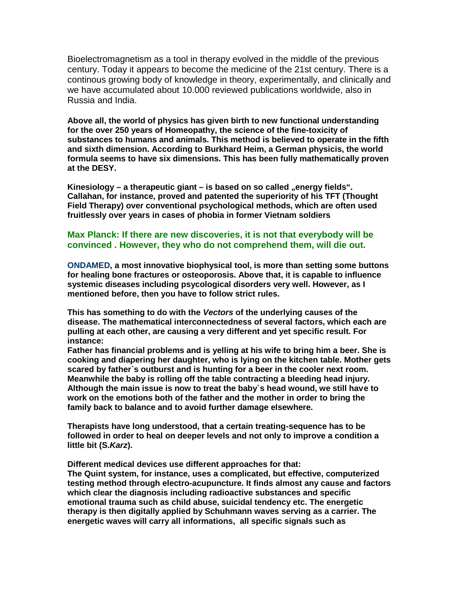Bioelectromagnetism as a tool in therapy evolved in the middle of the previous century. Today it appears to become the medicine of the 21st century. There is a continous growing body of knowledge in theory, experimentally, and clinically and we have accumulated about 10.000 reviewed publications worldwide, also in Russia and India.

**Above all, the world of physics has given birth to new functional understanding for the over 250 years of Homeopathy, the science of the fine-toxicity of substances to humans and animals. This method is believed to operate in the fifth and sixth dimension. According to Burkhard Heim, a German physicis, the world formula seems to have six dimensions. This has been fully mathematically proven at the DESY.**

Kinesiology – a therapeutic giant – is based on so called "energy fields". **Callahan, for instance, proved and patented the superiority of his TFT (Thought Field Therapy) over conventional psychological methods, which are often used fruitlessly over years in cases of phobia in former Vietnam soldiers**

#### **Max Planck: If there are new discoveries, it is not that everybody will be convinced . However, they who do not comprehend them, will die out.**

**ONDAMED, a most innovative biophysical tool, is more than setting some buttons for healing bone fractures or osteoporosis. Above that, it is capable to influence systemic diseases including psycological disorders very well. However, as I mentioned before, then you have to follow strict rules.**

**This has something to do with the** *Vectors* **of the underlying causes of the disease. The mathematical interconnectedness of several factors, which each are pulling at each other, are causing a very different and yet specific result. For instance:**

**Father has financial problems and is yelling at his wife to bring him a beer. She is cooking and diapering her daughter, who is lying on the kitchen table. Mother gets scared by father`s outburst and is hunting for a beer in the cooler next room. Meanwhile the baby is rolling off the table contracting a bleeding head injury. Although the main issue is now to treat the baby`s head wound, we still have to work on the emotions both of the father and the mother in order to bring the family back to balance and to avoid further damage elsewhere.**

**Therapists have long understood, that a certain treating-sequence has to be followed in order to heal on deeper levels and not only to improve a condition a little bit (S.***Karz***).**

**Different medical devices use different approaches for that: The Quint system, for instance, uses a complicated, but effective, computerized testing method through electro-acupuncture. It finds almost any cause and factors which clear the diagnosis including radioactive substances and specific emotional trauma such as child abuse, suicidal tendency etc. The energetic therapy is then digitally applied by Schuhmann waves serving as a carrier. The energetic waves will carry all informations, all specific signals such as**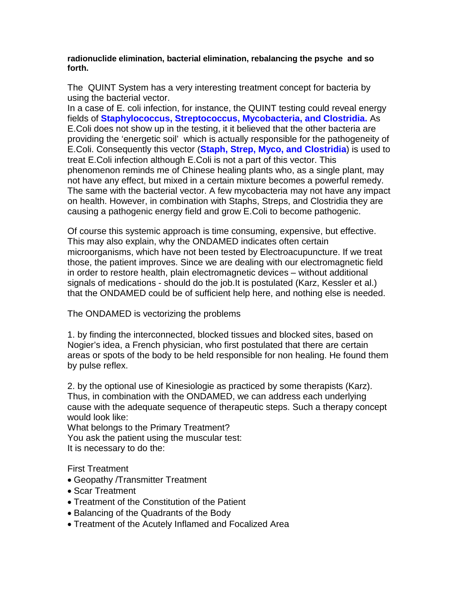### **radionuclide elimination, bacterial elimination, rebalancing the psyche and so forth.**

The QUINT System has a very interesting treatment concept for bacteria by using the bacterial vector.

In a case of E. coli infection, for instance, the QUINT testing could reveal energy fields of **Staphylococcus, Streptococcus, Mycobacteria, and Clostridia.** As E.Coli does not show up in the testing, it it believed that the other bacteria are providing the 'energetic soil' which is actually responsible for the pathogeneity of E.Coli. Consequently this vector (**Staph, Strep, Myco, and Clostridia**) is used to treat E.Coli infection although E.Coli is not a part of this vector. This phenomenon reminds me of Chinese healing plants who, as a single plant, may not have any effect, but mixed in a certain mixture becomes a powerful remedy. The same with the bacterial vector. A few mycobacteria may not have any impact on health. However, in combination with Staphs, Streps, and Clostridia they are causing a pathogenic energy field and grow E.Coli to become pathogenic.

Of course this systemic approach is time consuming, expensive, but effective. This may also explain, why the ONDAMED indicates often certain microorganisms, which have not been tested by Electroacupuncture. If we treat those, the patient improves. Since we are dealing with our electromagnetic field in order to restore health, plain electromagnetic devices – without additional signals of medications - should do the job.It is postulated (Karz, Kessler et al.) that the ONDAMED could be of sufficient help here, and nothing else is needed.

The ONDAMED is vectorizing the problems

1. by finding the interconnected, blocked tissues and blocked sites, based on Nogier's idea, a French physician, who first postulated that there are certain areas or spots of the body to be held responsible for non healing. He found them by pulse reflex.

2. by the optional use of Kinesiologie as practiced by some therapists (Karz). Thus, in combination with the ONDAMED, we can address each underlying cause with the adequate sequence of therapeutic steps. Such a therapy concept would look like:

What belongs to the Primary Treatment? You ask the patient using the muscular test: It is necessary to do the:

First Treatment

- Geopathy /Transmitter Treatment
- Scar Treatment
- Treatment of the Constitution of the Patient
- Balancing of the Quadrants of the Body
- Treatment of the Acutely Inflamed and Focalized Area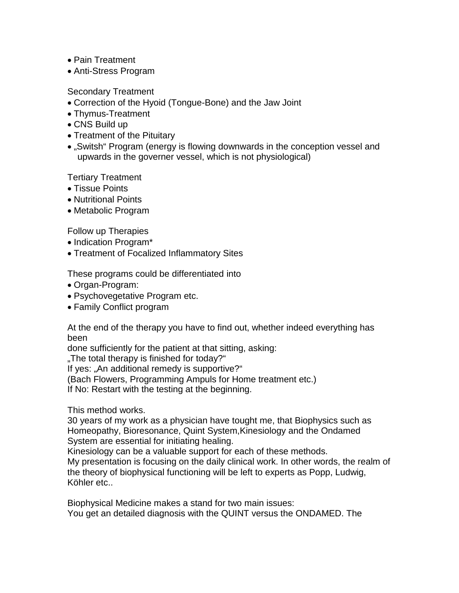- Pain Treatment
- Anti-Stress Program

Secondary Treatment

- Correction of the Hyoid (Tongue-Bone) and the Jaw Joint
- Thymus-Treatment
- CNS Build up
- Treatment of the Pituitary
- "Switsh" Program (energy is flowing downwards in the conception vessel and upwards in the governer vessel, which is not physiological)

Tertiary Treatment

- Tissue Points
- Nutritional Points
- Metabolic Program

Follow up Therapies

- Indication Program\*
- Treatment of Focalized Inflammatory Sites

These programs could be differentiated into

- Organ-Program:
- Psychovegetative Program etc.
- Family Conflict program

At the end of the therapy you have to find out, whether indeed everything has been

done sufficiently for the patient at that sitting, asking:

"The total therapy is finished for today?"

If yes: "An additional remedy is supportive?"

(Bach Flowers, Programming Ampuls for Home treatment etc.)

If No: Restart with the testing at the beginning.

This method works.

30 years of my work as a physician have tought me, that Biophysics such as Homeopathy, Bioresonance, Quint System,Kinesiology and the Ondamed System are essential for initiating healing.

Kinesiology can be a valuable support for each of these methods.

My presentation is focusing on the daily clinical work. In other words, the realm of the theory of biophysical functioning will be left to experts as Popp, Ludwig, Köhler etc..

Biophysical Medicine makes a stand for two main issues: You get an detailed diagnosis with the QUINT versus the ONDAMED. The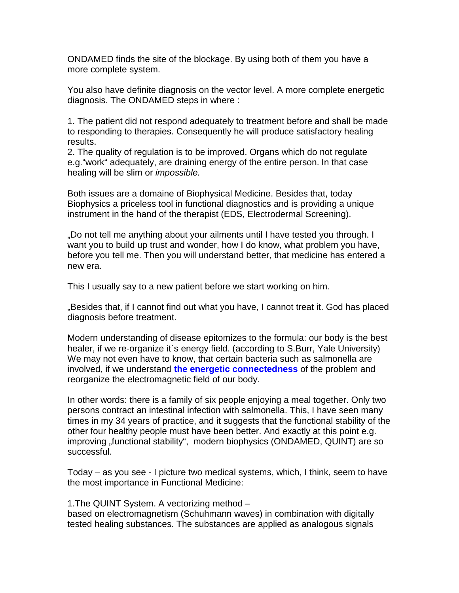ONDAMED finds the site of the blockage. By using both of them you have a more complete system.

You also have definite diagnosis on the vector level. A more complete energetic diagnosis. The ONDAMED steps in where :

1. The patient did not respond adequately to treatment before and shall be made to responding to therapies. Consequently he will produce satisfactory healing results.

2. The quality of regulation is to be improved. Organs which do not regulate e.g."work" adequately, are draining energy of the entire person. In that case healing will be slim or *impossible.*

Both issues are a domaine of Biophysical Medicine. Besides that, today Biophysics a priceless tool in functional diagnostics and is providing a unique instrument in the hand of the therapist (EDS, Electrodermal Screening).

"Do not tell me anything about your ailments until I have tested you through. I want you to build up trust and wonder, how I do know, what problem you have, before you tell me. Then you will understand better, that medicine has entered a new era.

This I usually say to a new patient before we start working on him.

"Besides that, if I cannot find out what you have, I cannot treat it. God has placed diagnosis before treatment.

Modern understanding of disease epitomizes to the formula: our body is the best healer, if we re-organize it's energy field. (according to S.Burr, Yale University) We may not even have to know, that certain bacteria such as salmonella are involved, if we understand **the energetic connectedness** of the problem and reorganize the electromagnetic field of our body.

In other words: there is a family of six people enjoying a meal together. Only two persons contract an intestinal infection with salmonella. This, I have seen many times in my 34 years of practice, and it suggests that the functional stability of the other four healthy people must have been better. And exactly at this point e.g. improving "functional stability", modern biophysics (ONDAMED, QUINT) are so successful.

Today – as you see - I picture two medical systems, which, I think, seem to have the most importance in Functional Medicine:

1.The QUINT System. A vectorizing method –

based on electromagnetism (Schuhmann waves) in combination with digitally tested healing substances. The substances are applied as analogous signals